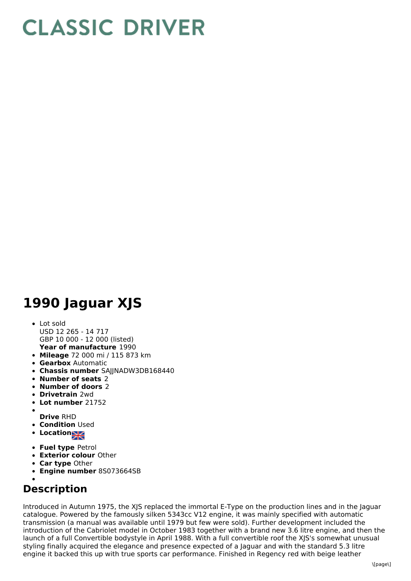## **CLASSIC DRIVER**

## **1990 Jaguar XJS**

- **Year of manufacture** 1990 Lot sold USD 12 265 - 14 717 GBP 10 000 - 12 000 (listed)
- **Mileage** 72 000 mi / 115 873 km
- **Gearbox** Automatic
- **Chassis number** SAJJNADW3DB168440
- **Number of seats** 2
- **Number of doors** 2
- **Drivetrain** 2wd
- **Lot number** 21752
- **Drive** RHD
- **Condition Used**
- **Location**
- 
- **Fuel type** Petrol **Exterior colour** Other
- **Car type** Other
- **Engine number** 8S073664SB

## **Description**

Introduced in Autumn 1975, the XJS replaced the immortal E-Type on the production lines and in the Jaguar catalogue. Powered by the famously silken 5343cc V12 engine, it was mainly specified with automatic transmission (a manual was available until 1979 but few were sold). Further development included the introduction of the Cabriolet model in October 1983 together with a brand new 3.6 litre engine, and then the launch of a full Convertible bodystyle in April 1988. With a full convertible roof the XJS's somewhat unusual styling finally acquired the elegance and presence expected of a Jaguar and with the standard 5.3 litre engine it backed this up with true sports car performance. Finished in Regency red with beige leather